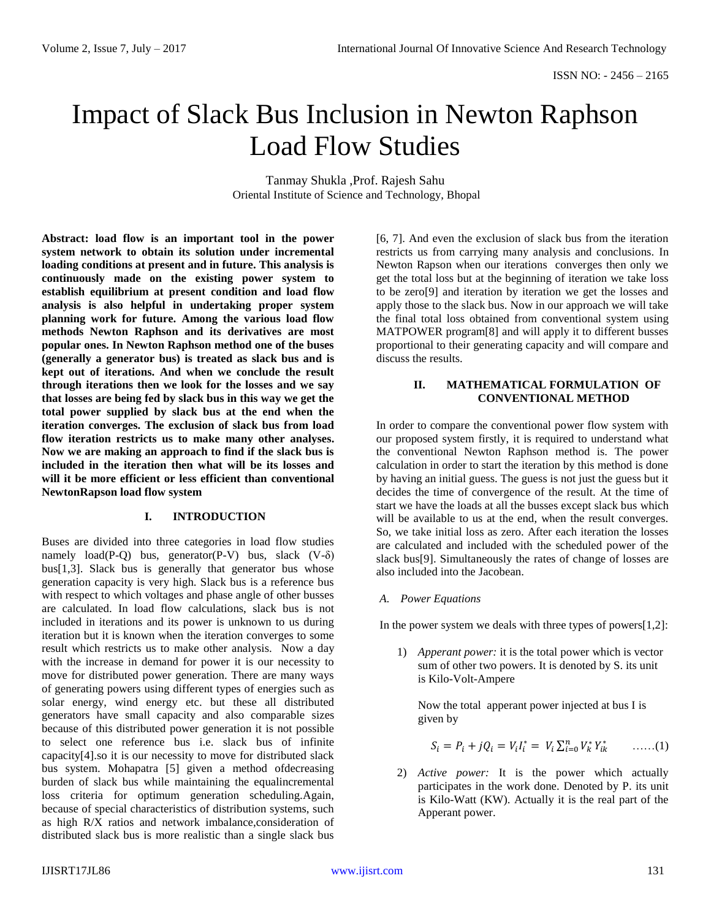# Impact of Slack Bus Inclusion in Newton Raphson Load Flow Studies

Tanmay Shukla ,Prof. Rajesh Sahu Oriental Institute of Science and Technology, Bhopal

**Abstract: load flow is an important tool in the power system network to obtain its solution under incremental loading conditions at present and in future. This analysis is continuously made on the existing power system to establish equilibrium at present condition and load flow analysis is also helpful in undertaking proper system planning work for future. Among the various load flow methods Newton Raphson and its derivatives are most popular ones. In Newton Raphson method one of the buses (generally a generator bus) is treated as slack bus and is kept out of iterations. And when we conclude the result through iterations then we look for the losses and we say that losses are being fed by slack bus in this way we get the total power supplied by slack bus at the end when the iteration converges. The exclusion of slack bus from load flow iteration restricts us to make many other analyses. Now we are making an approach to find if the slack bus is included in the iteration then what will be its losses and will it be more efficient or less efficient than conventional NewtonRapson load flow system** 

# **I. INTRODUCTION**

Buses are divided into three categories in load flow studies namely  $load(P-Q)$  bus, generator(P-V) bus, slack  $(V-\delta)$ bus[1,3]. Slack bus is generally that generator bus whose generation capacity is very high. Slack bus is a reference bus with respect to which voltages and phase angle of other busses are calculated. In load flow calculations, slack bus is not included in iterations and its power is unknown to us during iteration but it is known when the iteration converges to some result which restricts us to make other analysis. Now a day with the increase in demand for power it is our necessity to move for distributed power generation. There are many ways of generating powers using different types of energies such as solar energy, wind energy etc. but these all distributed generators have small capacity and also comparable sizes because of this distributed power generation it is not possible to select one reference bus i.e. slack bus of infinite capacity[4].so it is our necessity to move for distributed slack bus system. Mohapatra [5] given a method ofdecreasing burden of slack bus while maintaining the equalincremental loss criteria for optimum generation scheduling.Again, because of special characteristics of distribution systems, such as high R/X ratios and network imbalance,consideration of distributed slack bus is more realistic than a single slack bus

[6, 7]. And even the exclusion of slack bus from the iteration restricts us from carrying many analysis and conclusions. In Newton Rapson when our iterations converges then only we get the total loss but at the beginning of iteration we take loss to be zero[9] and iteration by iteration we get the losses and apply those to the slack bus. Now in our approach we will take the final total loss obtained from conventional system using MATPOWER program[8] and will apply it to different busses proportional to their generating capacity and will compare and discuss the results.

## **II. MATHEMATICAL FORMULATION OF CONVENTIONAL METHOD**

In order to compare the conventional power flow system with our proposed system firstly, it is required to understand what the conventional Newton Raphson method is. The power calculation in order to start the iteration by this method is done by having an initial guess. The guess is not just the guess but it decides the time of convergence of the result. At the time of start we have the loads at all the busses except slack bus which will be available to us at the end, when the result converges. So, we take initial loss as zero. After each iteration the losses are calculated and included with the scheduled power of the slack bus[9]. Simultaneously the rates of change of losses are also included into the Jacobean.

*A. Power Equations*

In the power system we deals with three types of powers $[1,2]$ :

1) *Apperant power:* it is the total power which is vector sum of other two powers. It is denoted by S. its unit is Kilo-Volt-Ampere

Now the total apperant power injected at bus I is given by

$$
S_i = P_i + jQ_i = V_iI_i^* = V_i\sum_{i=0}^n V_k^*Y_{ik}^* \qquad \ldots \ldots (1)
$$

2) *Active power:* It is the power which actually participates in the work done. Denoted by P. its unit is Kilo-Watt (KW). Actually it is the real part of the Apperant power.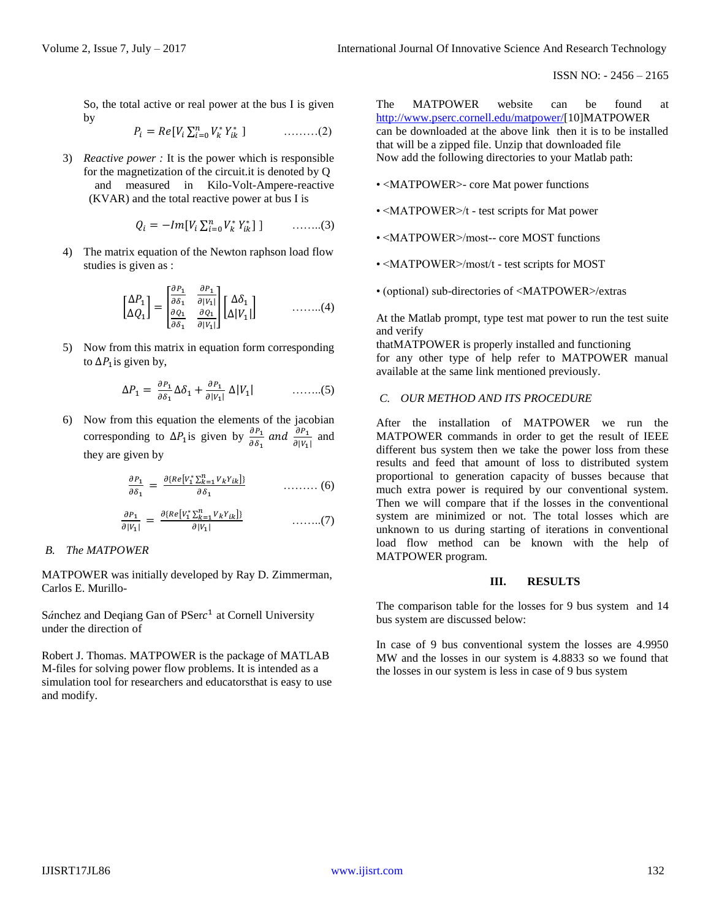So, the total active or real power at the bus I is given by

$$
P_i = Re[V_i \sum_{i=0}^{n} V_k^* Y_{ik}^* ] \qquad \qquad \dots \dots \dots (2)
$$

3) *Reactive power :* It is the power which is responsible for the magnetization of the circuit.it is denoted by Q and measured in Kilo-Volt-Ampere-reactive (KVAR) and the total reactive power at bus I is

$$
Q_i = -Im[V_i \sum_{i=0}^{n} V_k^* Y_{ik}^*] \quad \quad \ldots \ldots \ldots (3)
$$

4) The matrix equation of the Newton raphson load flow studies is given as :

$$
\begin{bmatrix}\n\Delta P_1 \\
\Delta Q_1\n\end{bmatrix} = \begin{bmatrix}\n\frac{\partial P_1}{\partial \delta_1} & \frac{\partial P_1}{\partial |V_1|} \\
\frac{\partial Q_1}{\partial \delta_1} & \frac{\partial Q_1}{\partial |V_1|}\n\end{bmatrix} \begin{bmatrix}\n\Delta \delta_1 \\
\Delta |V_1|\n\end{bmatrix} \quad \dots \dots \dots (4)
$$

5) Now from this matrix in equation form corresponding to  $\Delta P_1$  is given by,

$$
\Delta P_1 = \frac{\partial P_1}{\partial \delta_1} \Delta \delta_1 + \frac{\partial P_1}{\partial |V_1|} \Delta |V_1| \qquad \qquad \dots \dots \dots (5)
$$

6) Now from this equation the elements of the jacobian corresponding to  $\Delta P_1$  is given by  $\frac{\partial P_1}{\partial \delta_1}$  and  $\frac{\partial P_1}{\partial |V_1|}$  and they are given by

$$
\frac{\partial P_1}{\partial \delta_1} = \frac{\partial \{Re[\mathit{V}_1^* \Sigma_{k=1}^n \mathit{V}_k \mathit{Y}_{ik}]]}{\partial \delta_1} \qquad \qquad \dots \dots \dots \tag{6}
$$

$$
\frac{\partial P_1}{\partial |V_1|} = \frac{\partial \{Re[V_1^* \sum_{k=1}^n V_k Y_{ik}]\}}{\partial |V_1|} \qquad \qquad \dots \dots \dots (7)
$$

## *B. The MATPOWER*

MATPOWER was initially developed by Ray D. Zimmerman, Carlos E. Murillo-

Sánchez and Deqiang Gan of PSerc<sup>1</sup> at Cornell University under the direction of

Robert J. Thomas. MATPOWER is the package of MATLAB M-files for solving power flow problems. It is intended as a simulation tool for researchers and educatorsthat is easy to use and modify.

The MATPOWER website can be found at [http://www.pserc.cornell.edu/matpower/\[](http://www.pserc.cornell.edu/matpower/)10]MATPOWER can be downloaded at the above link then it is to be installed that will be a zipped file. Unzip that downloaded file Now add the following directories to your Matlab path:

- <MATPOWER>- core Mat power functions
- <MATPOWER>/t test scripts for Mat power
- <MATPOWER>/most-- core MOST functions
- <MATPOWER>/most/t test scripts for MOST
- (optional) sub-directories of <MATPOWER>/extras

At the Matlab prompt, type test mat power to run the test suite and verify

thatMATPOWER is properly installed and functioning for any other type of help refer to MATPOWER manual available at the same link mentioned previously.

### *C. OUR METHOD AND ITS PROCEDURE*

After the installation of MATPOWER we run the MATPOWER commands in order to get the result of IEEE different bus system then we take the power loss from these results and feed that amount of loss to distributed system proportional to generation capacity of busses because that much extra power is required by our conventional system. Then we will compare that if the losses in the conventional system are minimized or not. The total losses which are unknown to us during starting of iterations in conventional load flow method can be known with the help of MATPOWER program.

#### **III. RESULTS**

The comparison table for the losses for 9 bus system and 14 bus system are discussed below:

In case of 9 bus conventional system the losses are 4.9950 MW and the losses in our system is 4.8833 so we found that the losses in our system is less in case of 9 bus system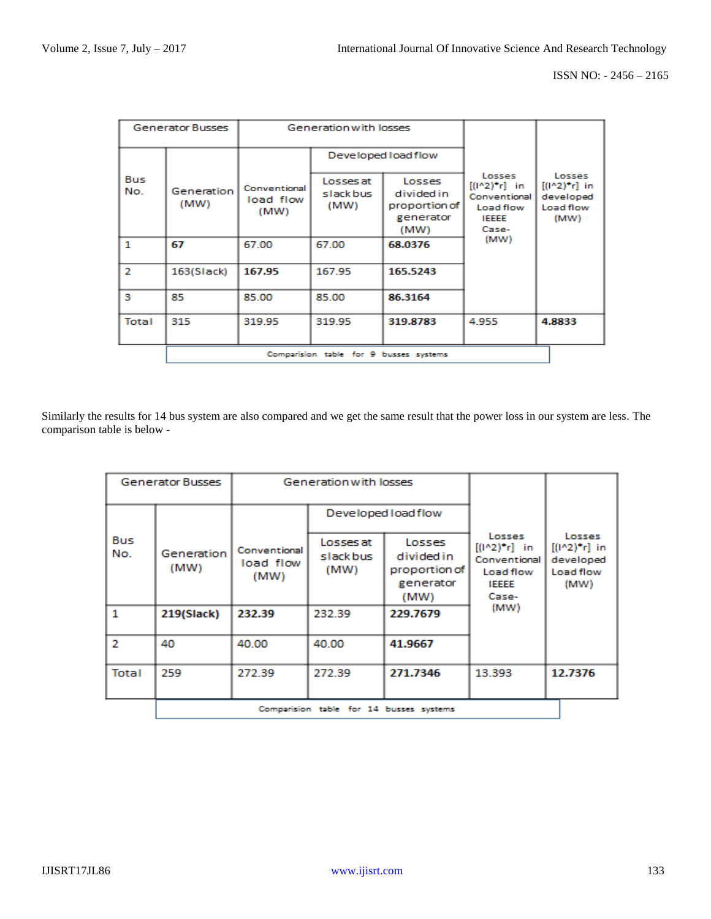| <b>Generator Busses</b> |                                        | Generation with losses            |                               |                                                            |                                                                                 |                                                             |  |  |  |  |
|-------------------------|----------------------------------------|-----------------------------------|-------------------------------|------------------------------------------------------------|---------------------------------------------------------------------------------|-------------------------------------------------------------|--|--|--|--|
|                         |                                        |                                   | Developed load flow           |                                                            |                                                                                 |                                                             |  |  |  |  |
| Bus<br>No.              | Generation<br>(MW)                     | Conventional<br>load flow<br>(MW) | Losses at<br>slackbus<br>(MW) | Losses<br>divided in<br>proportion of<br>generator<br>(MW) | Losses<br>$[(1^22)^4]$ in<br>Conventional<br>Load flow<br><b>IEEEE</b><br>Case- | Losses<br>$[(1^22)^4]$ in<br>developed<br>Load flow<br>(MW) |  |  |  |  |
| 1                       | 67                                     | 67.00                             | 67.00                         | 68.0376                                                    | (MW)                                                                            |                                                             |  |  |  |  |
| 2                       | 163(Slack)                             | 167.95                            | 167.95                        | 165.5243                                                   |                                                                                 |                                                             |  |  |  |  |
| з                       | 85                                     | 85.00                             | 85.00                         | 86.3164                                                    |                                                                                 |                                                             |  |  |  |  |
| Total                   | 315                                    | 319.95                            | 319.95                        | 319.8783                                                   | 4.955                                                                           | 4.8833                                                      |  |  |  |  |
|                         | Comparision table for 9 busses systems |                                   |                               |                                                            |                                                                                 |                                                             |  |  |  |  |

Similarly the results for 14 bus system are also compared and we get the same result that the power loss in our system are less. The comparison table is below -

| Generator Busses |                                         | Generation with losses            |                                |                                                            |                                                                                 |                                                                 |  |  |  |  |
|------------------|-----------------------------------------|-----------------------------------|--------------------------------|------------------------------------------------------------|---------------------------------------------------------------------------------|-----------------------------------------------------------------|--|--|--|--|
|                  |                                         |                                   | Developed load flow            |                                                            |                                                                                 |                                                                 |  |  |  |  |
| Bus<br>No.       | Generation<br>(MW)                      | Conventional<br>load flow<br>(MW) | Losses at<br>slack bus<br>(MW) | Losses<br>divided in<br>proportion of<br>generator<br>(MW) | Losses<br>$[(1^2)^*r]$ in<br>Conventional<br>Load flow<br><b>IEEEE</b><br>Case- | Losses<br>$[(1^2)(1^2)^2]$ in<br>developed<br>Load flow<br>(MW) |  |  |  |  |
| 1                | 219(Slack)                              | 232.39                            | 232.39                         | 229.7679                                                   | (MW)                                                                            |                                                                 |  |  |  |  |
| $\mathcal{P}$    | 40                                      | 40.00                             | 40.00                          | 41.9667                                                    |                                                                                 |                                                                 |  |  |  |  |
| Total            | 259                                     | 272.39                            | 272.39                         | 271.7346                                                   | 13.393                                                                          | 12.7376                                                         |  |  |  |  |
|                  | Comparision table for 14 busses systems |                                   |                                |                                                            |                                                                                 |                                                                 |  |  |  |  |